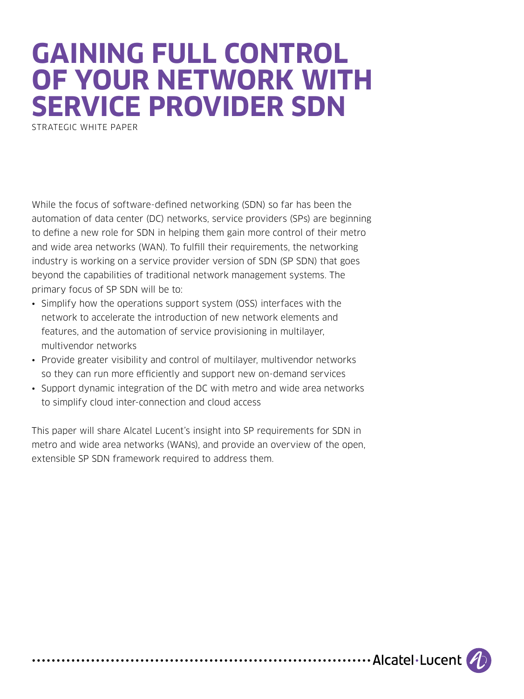# **GAINING FULL CONTROL OF YOUR NETWORK WITH SERVICE PROVIDER SDN**

STRATEGIC WHITE PAPER

While the focus of software-defined networking (SDN) so far has been the automation of data center (DC) networks, service providers (SPs) are beginning to define a new role for SDN in helping them gain more control of their metro and wide area networks (WAN). To fulfill their requirements, the networking industry is working on a service provider version of SDN (SP SDN) that goes beyond the capabilities of traditional network management systems. The primary focus of SP SDN will be to:

- Simplify how the operations support system (OSS) interfaces with the network to accelerate the introduction of new network elements and features, and the automation of service provisioning in multilayer, multivendor networks
- Provide greater visibility and control of multilayer, multivendor networks so they can run more efficiently and support new on-demand services
- Support dynamic integration of the DC with metro and wide area networks to simplify cloud inter-connection and cloud access

This paper will share Alcatel Lucent's insight into SP requirements for SDN in metro and wide area networks (WANs), and provide an overview of the open, extensible SP SDN framework required to address them.

.......................... Alcatel Lucent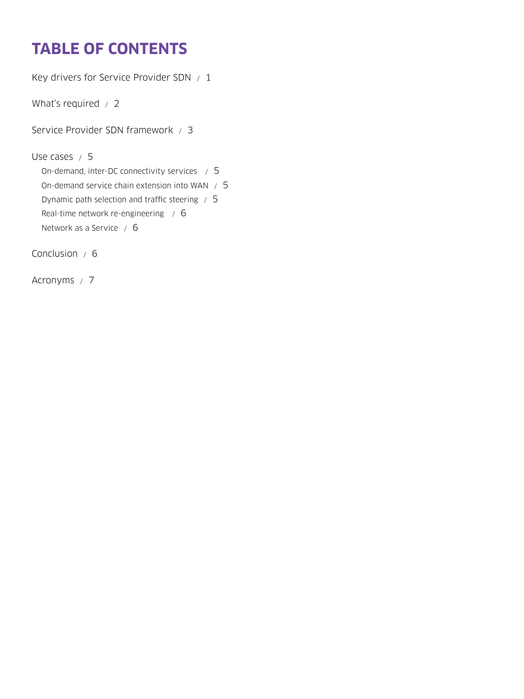# **TABLE OF CONTENTS**

[Key drivers for Service Provider SDN / 1](#page-2-0)

[What's required / 2](#page-3-0)

[Service Provider SDN framework / 3](#page-4-0)

[Use cases / 5](#page-6-0)

[On-demand, inter-DC connectivity services / 5](#page-6-0) [On-demand service chain extension into WAN / 5](#page-6-0) [Dynamic path selection and traffic steering / 5](#page-6-0) [Real-time network re-engineering / 6](#page-7-0) [Network as a Service / 6](#page-7-0)

[Conclusion / 6](#page-7-0)

[Acronyms / 7](#page-8-0)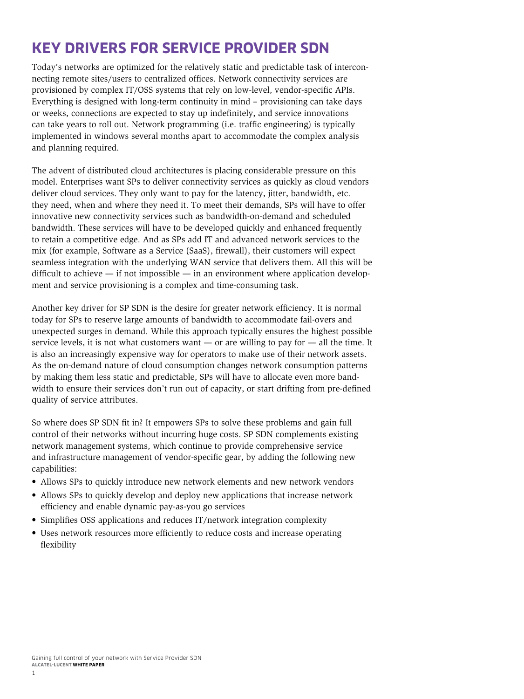# <span id="page-2-0"></span>**KEY DRIVERS FOR SERVICE PROVIDER SDN**

Today's networks are optimized for the relatively static and predictable task of interconnecting remote sites/users to centralized offices. Network connectivity services are provisioned by complex IT/OSS systems that rely on low-level, vendor-specific APIs. Everything is designed with long-term continuity in mind – provisioning can take days or weeks, connections are expected to stay up indefinitely, and service innovations can take years to roll out. Network programming (i.e. traffic engineering) is typically implemented in windows several months apart to accommodate the complex analysis and planning required.

The advent of distributed cloud architectures is placing considerable pressure on this model. Enterprises want SPs to deliver connectivity services as quickly as cloud vendors deliver cloud services. They only want to pay for the latency, jitter, bandwidth, etc. they need, when and where they need it. To meet their demands, SPs will have to offer innovative new connectivity services such as bandwidth-on-demand and scheduled bandwidth. These services will have to be developed quickly and enhanced frequently to retain a competitive edge. And as SPs add IT and advanced network services to the mix (for example, Software as a Service (SaaS), firewall), their customers will expect seamless integration with the underlying WAN service that delivers them. All this will be difficult to achieve  $-$  if not impossible  $-$  in an environment where application development and service provisioning is a complex and time-consuming task.

Another key driver for SP SDN is the desire for greater network efficiency. It is normal today for SPs to reserve large amounts of bandwidth to accommodate fail-overs and unexpected surges in demand. While this approach typically ensures the highest possible service levels, it is not what customers want — or are willing to pay for — all the time. It is also an increasingly expensive way for operators to make use of their network assets. As the on-demand nature of cloud consumption changes network consumption patterns by making them less static and predictable, SPs will have to allocate even more bandwidth to ensure their services don't run out of capacity, or start drifting from pre-defined quality of service attributes.

So where does SP SDN fit in? It empowers SPs to solve these problems and gain full control of their networks without incurring huge costs. SP SDN complements existing network management systems, which continue to provide comprehensive service and infrastructure management of vendor-specific gear, by adding the following new capabilities:

- Allows SPs to quickly introduce new network elements and new network vendors
- Allows SPs to quickly develop and deploy new applications that increase network efficiency and enable dynamic pay-as-you go services
- Simplifies OSS applications and reduces IT/network integration complexity
- Uses network resources more efficiently to reduce costs and increase operating flexibility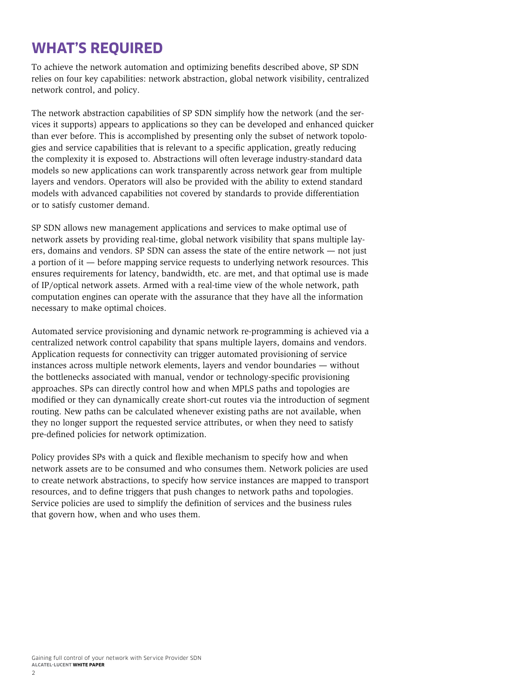### <span id="page-3-0"></span>**WHAT'S REQUIRED**

To achieve the network automation and optimizing benefits described above, SP SDN relies on four key capabilities: network abstraction, global network visibility, centralized network control, and policy.

The network abstraction capabilities of SP SDN simplify how the network (and the services it supports) appears to applications so they can be developed and enhanced quicker than ever before. This is accomplished by presenting only the subset of network topologies and service capabilities that is relevant to a specific application, greatly reducing the complexity it is exposed to. Abstractions will often leverage industry-standard data models so new applications can work transparently across network gear from multiple layers and vendors. Operators will also be provided with the ability to extend standard models with advanced capabilities not covered by standards to provide differentiation or to satisfy customer demand.

SP SDN allows new management applications and services to make optimal use of network assets by providing real-time, global network visibility that spans multiple layers, domains and vendors. SP SDN can assess the state of the entire network — not just a portion of it — before mapping service requests to underlying network resources. This ensures requirements for latency, bandwidth, etc. are met, and that optimal use is made of IP/optical network assets. Armed with a real-time view of the whole network, path computation engines can operate with the assurance that they have all the information necessary to make optimal choices.

Automated service provisioning and dynamic network re-programming is achieved via a centralized network control capability that spans multiple layers, domains and vendors. Application requests for connectivity can trigger automated provisioning of service instances across multiple network elements, layers and vendor boundaries — without the bottlenecks associated with manual, vendor or technology-specific provisioning approaches. SPs can directly control how and when MPLS paths and topologies are modified or they can dynamically create short-cut routes via the introduction of segment routing. New paths can be calculated whenever existing paths are not available, when they no longer support the requested service attributes, or when they need to satisfy pre-defined policies for network optimization.

Policy provides SPs with a quick and flexible mechanism to specify how and when network assets are to be consumed and who consumes them. Network policies are used to create network abstractions, to specify how service instances are mapped to transport resources, and to define triggers that push changes to network paths and topologies. Service policies are used to simplify the definition of services and the business rules that govern how, when and who uses them.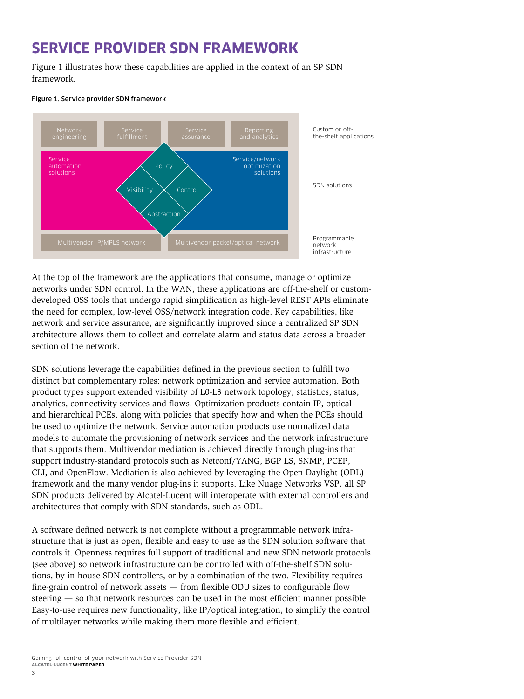## <span id="page-4-0"></span>**SERVICE PROVIDER SDN FRAMEWORK**

Figure 1 illustrates how these capabilities are applied in the context of an SP SDN framework.



#### Figure 1. Service provider SDN framework

At the top of the framework are the applications that consume, manage or optimize networks under SDN control. In the WAN, these applications are off-the-shelf or customdeveloped OSS tools that undergo rapid simplification as high-level REST APIs eliminate the need for complex, low-level OSS/network integration code. Key capabilities, like network and service assurance, are significantly improved since a centralized SP SDN architecture allows them to collect and correlate alarm and status data across a broader section of the network.

SDN solutions leverage the capabilities defined in the previous section to fulfill two distinct but complementary roles: network optimization and service automation. Both product types support extended visibility of L0-L3 network topology, statistics, status, analytics, connectivity services and flows. Optimization products contain IP, optical and hierarchical PCEs, along with policies that specify how and when the PCEs should be used to optimize the network. Service automation products use normalized data models to automate the provisioning of network services and the network infrastructure that supports them. Multivendor mediation is achieved directly through plug-ins that support industry-standard protocols such as Netconf/YANG, BGP LS, SNMP, PCEP, CLI, and OpenFlow. Mediation is also achieved by leveraging the Open Daylight (ODL) framework and the many vendor plug-ins it supports. Like Nuage Networks VSP, all SP SDN products delivered by Alcatel-Lucent will interoperate with external controllers and architectures that comply with SDN standards, such as ODL.

A software defined network is not complete without a programmable network infrastructure that is just as open, flexible and easy to use as the SDN solution software that controls it. Openness requires full support of traditional and new SDN network protocols (see above) so network infrastructure can be controlled with off-the-shelf SDN solutions, by in-house SDN controllers, or by a combination of the two. Flexibility requires fine-grain control of network assets — from flexible ODU sizes to configurable flow steering — so that network resources can be used in the most efficient manner possible. Easy-to-use requires new functionality, like IP/optical integration, to simplify the control of multilayer networks while making them more flexible and efficient.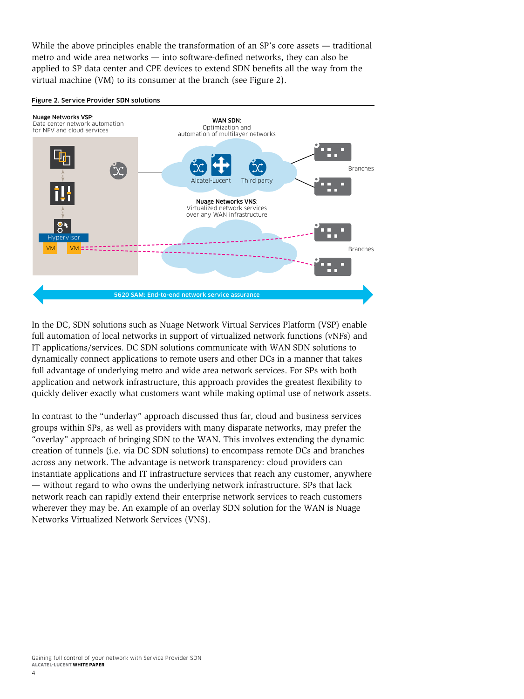While the above principles enable the transformation of an SP's core assets — traditional metro and wide area networks — into software-defined networks, they can also be applied to SP data center and CPE devices to extend SDN benefits all the way from the virtual machine (VM) to its consumer at the branch (see Figure 2).





In the DC, SDN solutions such as Nuage Network Virtual Services Platform (VSP) enable full automation of local networks in support of virtualized network functions (vNFs) and IT applications/services. DC SDN solutions communicate with WAN SDN solutions to dynamically connect applications to remote users and other DCs in a manner that takes full advantage of underlying metro and wide area network services. For SPs with both application and network infrastructure, this approach provides the greatest flexibility to quickly deliver exactly what customers want while making optimal use of network assets.

In contrast to the "underlay" approach discussed thus far, cloud and business services groups within SPs, as well as providers with many disparate networks, may prefer the "overlay" approach of bringing SDN to the WAN. This involves extending the dynamic creation of tunnels (i.e. via DC SDN solutions) to encompass remote DCs and branches across any network. The advantage is network transparency: cloud providers can instantiate applications and IT infrastructure services that reach any customer, anywhere — without regard to who owns the underlying network infrastructure. SPs that lack network reach can rapidly extend their enterprise network services to reach customers wherever they may be. An example of an overlay SDN solution for the WAN is Nuage Networks Virtualized Network Services (VNS).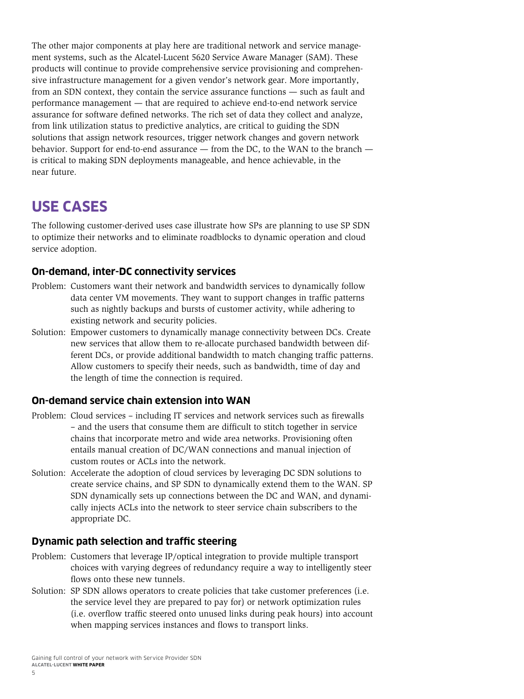<span id="page-6-0"></span>The other major components at play here are traditional network and service management systems, such as the Alcatel-Lucent 5620 Service Aware Manager (SAM). These products will continue to provide comprehensive service provisioning and comprehensive infrastructure management for a given vendor's network gear. More importantly, from an SDN context, they contain the service assurance functions — such as fault and performance management — that are required to achieve end-to-end network service assurance for software defined networks. The rich set of data they collect and analyze, from link utilization status to predictive analytics, are critical to guiding the SDN solutions that assign network resources, trigger network changes and govern network behavior. Support for end-to-end assurance — from the DC, to the WAN to the branch is critical to making SDN deployments manageable, and hence achievable, in the near future.

### **USE CASES**

The following customer-derived uses case illustrate how SPs are planning to use SP SDN to optimize their networks and to eliminate roadblocks to dynamic operation and cloud service adoption.

#### **On-demand, inter-DC connectivity services**

- Problem: Customers want their network and bandwidth services to dynamically follow data center VM movements. They want to support changes in traffic patterns such as nightly backups and bursts of customer activity, while adhering to existing network and security policies.
- Solution: Empower customers to dynamically manage connectivity between DCs. Create new services that allow them to re-allocate purchased bandwidth between different DCs, or provide additional bandwidth to match changing traffic patterns. Allow customers to specify their needs, such as bandwidth, time of day and the length of time the connection is required.

#### **On-demand service chain extension into WAN**

- Problem: Cloud services including IT services and network services such as firewalls – and the users that consume them are difficult to stitch together in service chains that incorporate metro and wide area networks. Provisioning often entails manual creation of DC/WAN connections and manual injection of custom routes or ACLs into the network.
- Solution: Accelerate the adoption of cloud services by leveraging DC SDN solutions to create service chains, and SP SDN to dynamically extend them to the WAN. SP SDN dynamically sets up connections between the DC and WAN, and dynamically injects ACLs into the network to steer service chain subscribers to the appropriate DC.

#### **Dynamic path selection and traffic steering**

- Problem: Customers that leverage IP/optical integration to provide multiple transport choices with varying degrees of redundancy require a way to intelligently steer flows onto these new tunnels.
- Solution: SP SDN allows operators to create policies that take customer preferences (i.e. the service level they are prepared to pay for) or network optimization rules (i.e. overflow traffic steered onto unused links during peak hours) into account when mapping services instances and flows to transport links.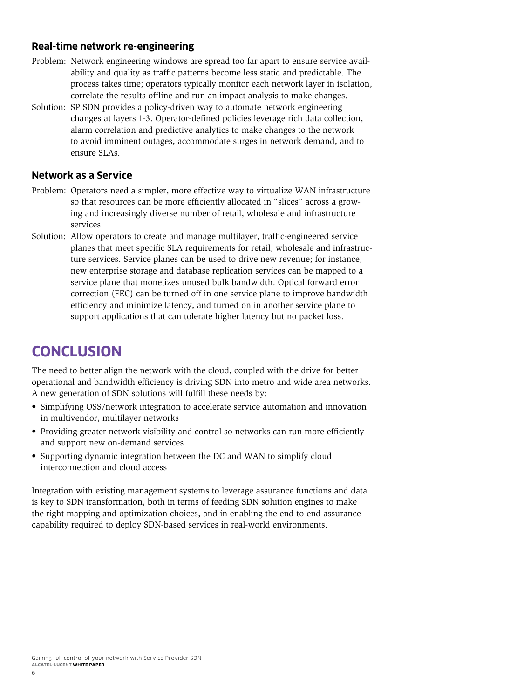#### <span id="page-7-0"></span>**Real-time network re-engineering**

- Problem: Network engineering windows are spread too far apart to ensure service availability and quality as traffic patterns become less static and predictable. The process takes time; operators typically monitor each network layer in isolation, correlate the results offline and run an impact analysis to make changes.
- Solution: SP SDN provides a policy-driven way to automate network engineering changes at layers 1-3. Operator-defined policies leverage rich data collection, alarm correlation and predictive analytics to make changes to the network to avoid imminent outages, accommodate surges in network demand, and to ensure SLAs.

#### **Network as a Service**

- Problem: Operators need a simpler, more effective way to virtualize WAN infrastructure so that resources can be more efficiently allocated in "slices" across a growing and increasingly diverse number of retail, wholesale and infrastructure services.
- Solution: Allow operators to create and manage multilayer, traffic-engineered service planes that meet specific SLA requirements for retail, wholesale and infrastructure services. Service planes can be used to drive new revenue; for instance, new enterprise storage and database replication services can be mapped to a service plane that monetizes unused bulk bandwidth. Optical forward error correction (FEC) can be turned off in one service plane to improve bandwidth efficiency and minimize latency, and turned on in another service plane to support applications that can tolerate higher latency but no packet loss.

# **CONCLUSION**

The need to better align the network with the cloud, coupled with the drive for better operational and bandwidth efficiency is driving SDN into metro and wide area networks. A new generation of SDN solutions will fulfill these needs by:

- Simplifying OSS/network integration to accelerate service automation and innovation in multivendor, multilayer networks
- Providing greater network visibility and control so networks can run more efficiently and support new on-demand services
- Supporting dynamic integration between the DC and WAN to simplify cloud interconnection and cloud access

Integration with existing management systems to leverage assurance functions and data is key to SDN transformation, both in terms of feeding SDN solution engines to make the right mapping and optimization choices, and in enabling the end-to-end assurance capability required to deploy SDN-based services in real-world environments.